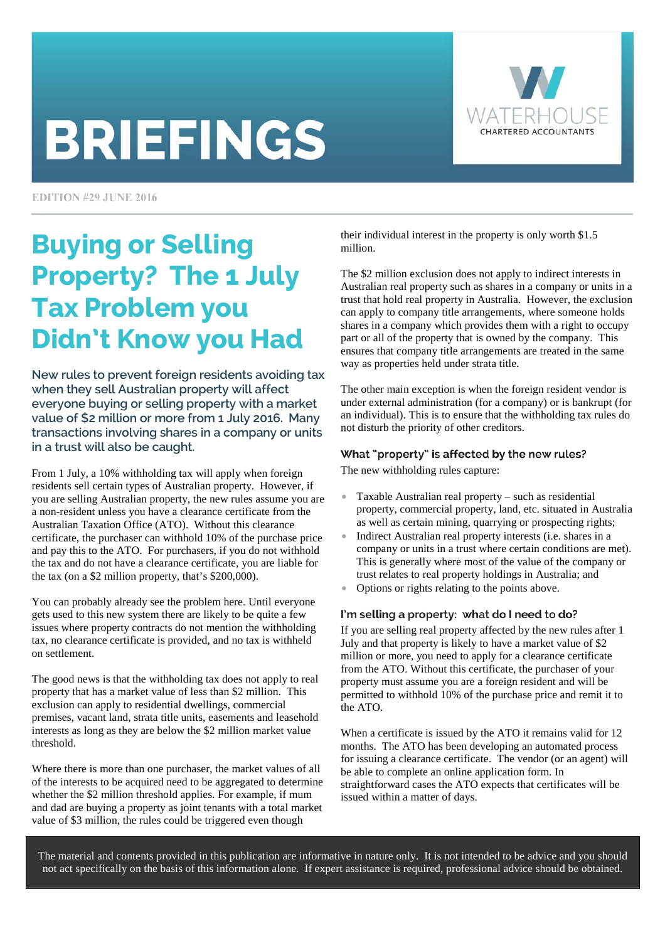# **BRIEFINGS**



**EDITION #29 JUNE 2016** 

## Buying or Selling Property? The 1 July Tax Problem you Didn't Know you Had

New rules to prevent foreign residents avoiding tax when they sell Australian property will affect everyone buying or selling property with a market value of \$2 million or more from 1 July 2016. Many transactions involving shares in a company or units in a trust will also be caught.

From 1 July, a 10% withholding tax will apply when foreign residents sell certain types of Australian property. However, if you are selling Australian property, the new rules assume you are a non-resident unless you have a clearance certificate from the Australian Taxation Office (ATO). Without this clearance certificate, the purchaser can withhold 10% of the purchase price and pay this to the ATO. For purchasers, if you do not withhold the tax and do not have a clearance certificate, you are liable for the tax (on a \$2 million property, that's \$200,000).

You can probably already see the problem here. Until everyone gets used to this new system there are likely to be quite a few issues where property contracts do not mention the withholding tax, no clearance certificate is provided, and no tax is withheld on settlement.

The good news is that the withholding tax does not apply to real property that has a market value of less than \$2 million. This exclusion can apply to residential dwellings, commercial premises, vacant land, strata title units, easements and leasehold interests as long as they are below the \$2 million market value threshold.

Where there is more than one purchaser, the market values of all of the interests to be acquired need to be aggregated to determine whether the \$2 million threshold applies. For example, if mum and dad are buying a property as joint tenants with a total market value of \$3 million, the rules could be triggered even though

their individual interest in the property is only worth \$1.5 million.

The \$2 million exclusion does not apply to indirect interests in Australian real property such as shares in a company or units in a trust that hold real property in Australia. However, the exclusion can apply to company title arrangements, where someone holds shares in a company which provides them with a right to occupy part or all of the property that is owned by the company. This ensures that company title arrangements are treated in the same way as properties held under strata title.

The other main exception is when the foreign resident vendor is under external administration (for a company) or is bankrupt (for an individual). This is to ensure that the withholding tax rules do not disturb the priority of other creditors.

### What "property" is affected by the new rules?

The new withholding rules capture:

- Taxable Australian real property such as residential property, commercial property, land, etc. situated in Australia as well as certain mining, quarrying or prospecting rights;
- Indirect Australian real property interests (i.e. shares in a company or units in a trust where certain conditions are met). This is generally where most of the value of the company or trust relates to real property holdings in Australia; and
- Options or rights relating to the points above.

### I'm selling a property: what do I need to do?

If you are selling real property affected by the new rules after 1 July and that property is likely to have a market value of \$2 million or more, you need to apply for a clearance certificate from the ATO. Without this certificate, the purchaser of your property must assume you are a foreign resident and will be permitted to withhold 10% of the purchase price and remit it to the ATO.

When a certificate is issued by the ATO it remains valid for 12 months. The ATO has been developing an automated process for issuing a clearance certificate. The vendor (or an agent) will be able to complete an online application form. In straightforward cases the ATO expects that certificates will be issued within a matter of days.

The material and contents provided in this publication are informative in nature only. It is not intended to be advice and you should not act specifically on the basis of this information alone. If expert assistance is required, professional advice should be obtained.